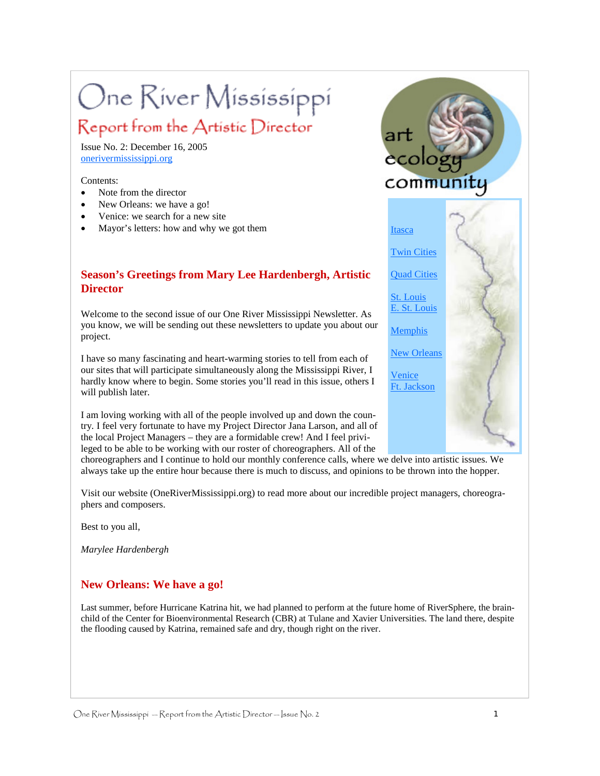# One River Mississippi

# Report from the Artistic Director

Issue No. 2: December 16, 2005 onerivermississippi.org

Contents:

- Note from the director
- New Orleans: we have a go!
- Venice: we search for a new site
- Mayor's letters: how and why we got them

# **Season's Greetings from Mary Lee Hardenbergh, Artistic Director**

Welcome to the second issue of our One River Mississippi Newsletter. As you know, we will be sending out these newsletters to update you about our project.

I have so many fascinating and heart-warming stories to tell from each of our sites that will participate simultaneously along the Mississippi River, I hardly know where to begin. Some stories you'll read in this issue, others I will publish later.

I am loving working with all of the people involved up and down the country. I feel very fortunate to have my Project Director Jana Larson, and all of the local Project Managers – they are a formidable crew! And I feel privileged to be able to be working with our roster of choreographers. All of the

choreographers and I continue to hold our monthly conference calls, where we delve into artistic issues. We always take up the entire hour because there is much to discuss, and opinions to be thrown into the hopper.

Visit our website (OneRiverMississippi.org) to read more about our incredible project managers, choreographers and composers.

Best to you all,

*Marylee Hardenbergh* 

## **New Orleans: We have a go!**

Last summer, before Hurricane Katrina hit, we had planned to perform at the future home of RiverSphere, the brainchild of the Center for Bioenvironmental Research (CBR) at Tulane and Xavier Universities. The land there, despite the flooding caused by Katrina, remained safe and dry, though right on the river.

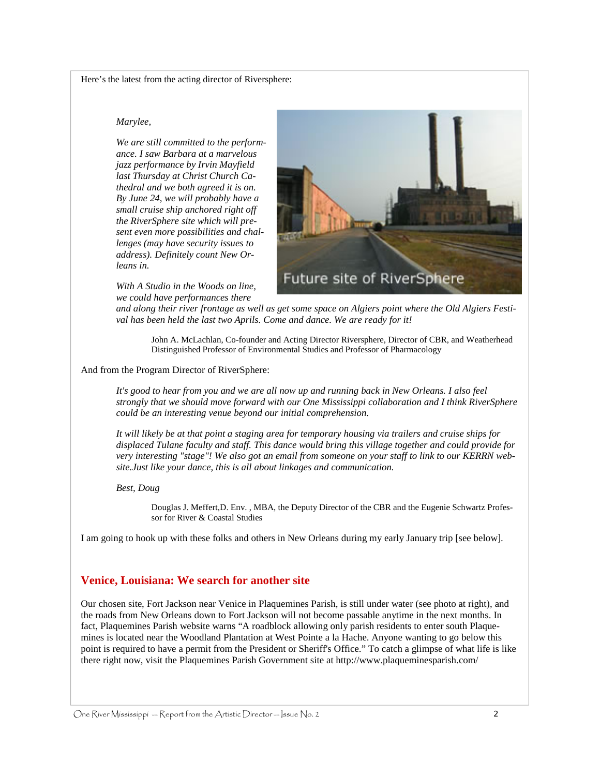Here's the latest from the acting director of Riversphere:

#### *Marylee,*

*We are still committed to the performance. I saw Barbara at a marvelous jazz performance by Irvin Mayfield last Thursday at Christ Church Cathedral and we both agreed it is on. By June 24, we will probably have a small cruise ship anchored right off the RiverSphere site which will present even more possibilities and challenges (may have security issues to address). Definitely count New Orleans in.* 

Future site of RiverSphere

*With A Studio in the Woods on line, we could have performances there* 

*and along their river frontage as well as get some space on Algiers point where the Old Algiers Festival has been held the last two Aprils. Come and dance. We are ready for it!* 

John A. McLachlan, Co-founder and Acting Director Riversphere, Director of CBR, and Weatherhead Distinguished Professor of Environmental Studies and Professor of Pharmacology

#### And from the Program Director of RiverSphere:

*It's good to hear from you and we are all now up and running back in New Orleans. I also feel strongly that we should move forward with our One Mississippi collaboration and I think RiverSphere could be an interesting venue beyond our initial comprehension.* 

*It will likely be at that point a staging area for temporary housing via trailers and cruise ships for displaced Tulane faculty and staff. This dance would bring this village together and could provide for very interesting "stage"! We also got an email from someone on your staff to link to our KERRN website.Just like your dance, this is all about linkages and communication.* 

*Best, Doug* 

Douglas J. Meffert,D. Env. , MBA, the Deputy Director of the CBR and the Eugenie Schwartz Professor for River & Coastal Studies

I am going to hook up with these folks and others in New Orleans during my early January trip [see below].

## **Venice, Louisiana: We search for another site**

Our chosen site, Fort Jackson near Venice in Plaquemines Parish, is still under water (see photo at right), and the roads from New Orleans down to Fort Jackson will not become passable anytime in the next months. In fact, Plaquemines Parish website warns "A roadblock allowing only parish residents to enter south Plaquemines is located near the Woodland Plantation at West Pointe a la Hache. Anyone wanting to go below this point is required to have a permit from the President or Sheriff's Office." To catch a glimpse of what life is like there right now, visit the Plaquemines Parish Government site at http://www.plaqueminesparish.com/